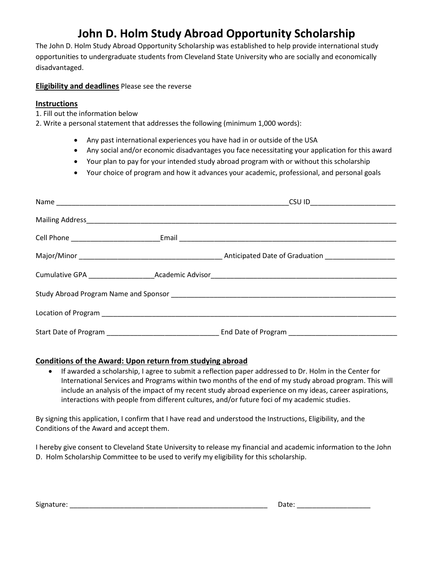# John D. Holm Study Abroad Opportunity Scholarship

The John D. Holm Study Abroad Opportunity Scholarship was established to help provide international study opportunities to undergraduate students from Cleveland State University who are socially and economically disadvantaged.

### Eligibility and deadlines Please see the reverse

### Instructions

- 1. Fill out the information below
- 2. Write a personal statement that addresses the following (minimum 1,000 words):
	- Any past international experiences you have had in or outside of the USA
	- Any social and/or economic disadvantages you face necessitating your application for this award
	- Your plan to pay for your intended study abroad program with or without this scholarship
	- Your choice of program and how it advances your academic, professional, and personal goals

|  | CSU ID_____________________ |
|--|-----------------------------|
|  |                             |
|  |                             |
|  |                             |
|  |                             |
|  |                             |
|  |                             |
|  |                             |

### Conditions of the Award: Upon return from studying abroad

 If awarded a scholarship, I agree to submit a reflection paper addressed to Dr. Holm in the Center for International Services and Programs within two months of the end of my study abroad program. This will include an analysis of the impact of my recent study abroad experience on my ideas, career aspirations, interactions with people from different cultures, and/or future foci of my academic studies.

By signing this application, I confirm that I have read and understood the Instructions, Eligibility, and the Conditions of the Award and accept them.

I hereby give consent to Cleveland State University to release my financial and academic information to the John D. Holm Scholarship Committee to be used to verify my eligibility for this scholarship.